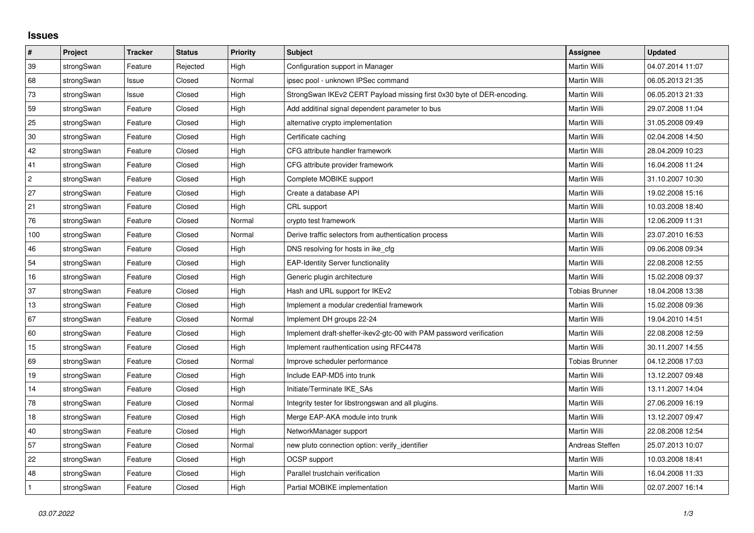## **Issues**

| $\vert$ #      | Project    | <b>Tracker</b> | <b>Status</b> | <b>Priority</b> | <b>Subject</b>                                                         | Assignee              | <b>Updated</b>   |
|----------------|------------|----------------|---------------|-----------------|------------------------------------------------------------------------|-----------------------|------------------|
| 39             | strongSwan | Feature        | Rejected      | High            | Configuration support in Manager                                       | <b>Martin Willi</b>   | 04.07.2014 11:07 |
| 68             | strongSwan | Issue          | Closed        | Normal          | ipsec pool - unknown IPSec command                                     | Martin Willi          | 06.05.2013 21:35 |
| 73             | strongSwan | Issue          | Closed        | High            | StrongSwan IKEv2 CERT Payload missing first 0x30 byte of DER-encoding. | Martin Willi          | 06.05.2013 21:33 |
| 59             | strongSwan | Feature        | Closed        | High            | Add additinal signal dependent parameter to bus                        | Martin Willi          | 29.07.2008 11:04 |
| 25             | strongSwan | Feature        | Closed        | High            | alternative crypto implementation                                      | Martin Willi          | 31.05.2008 09:49 |
| 30             | strongSwan | Feature        | Closed        | High            | Certificate caching                                                    | Martin Willi          | 02.04.2008 14:50 |
| 42             | strongSwan | Feature        | Closed        | High            | CFG attribute handler framework                                        | Martin Willi          | 28.04.2009 10:23 |
| 41             | strongSwan | Feature        | Closed        | High            | CFG attribute provider framework                                       | Martin Willi          | 16.04.2008 11:24 |
| $\overline{c}$ | strongSwan | Feature        | Closed        | High            | Complete MOBIKE support                                                | Martin Willi          | 31.10.2007 10:30 |
| 27             | strongSwan | Feature        | Closed        | High            | Create a database API                                                  | Martin Willi          | 19.02.2008 15:16 |
| 21             | strongSwan | Feature        | Closed        | High            | CRL support                                                            | Martin Willi          | 10.03.2008 18:40 |
| 76             | strongSwan | Feature        | Closed        | Normal          | crypto test framework                                                  | Martin Willi          | 12.06.2009 11:31 |
| 100            | strongSwan | Feature        | Closed        | Normal          | Derive traffic selectors from authentication process                   | Martin Willi          | 23.07.2010 16:53 |
| 46             | strongSwan | Feature        | Closed        | High            | DNS resolving for hosts in ike cfg                                     | Martin Willi          | 09.06.2008 09:34 |
| 54             | strongSwan | Feature        | Closed        | High            | <b>EAP-Identity Server functionality</b>                               | Martin Willi          | 22.08.2008 12:55 |
| 16             | strongSwan | Feature        | Closed        | High            | Generic plugin architecture                                            | Martin Willi          | 15.02.2008 09:37 |
| 37             | strongSwan | Feature        | Closed        | High            | Hash and URL support for IKEv2                                         | <b>Tobias Brunner</b> | 18.04.2008 13:38 |
| 13             | strongSwan | Feature        | Closed        | High            | Implement a modular credential framework                               | Martin Willi          | 15.02.2008 09:36 |
| 67             | strongSwan | Feature        | Closed        | Normal          | Implement DH groups 22-24                                              | Martin Willi          | 19.04.2010 14:51 |
| 60             | strongSwan | Feature        | Closed        | High            | Implement draft-sheffer-ikev2-gtc-00 with PAM password verification    | Martin Willi          | 22.08.2008 12:59 |
| 15             | strongSwan | Feature        | Closed        | High            | Implement rauthentication using RFC4478                                | Martin Willi          | 30.11.2007 14:55 |
| 69             | strongSwan | Feature        | Closed        | Normal          | Improve scheduler performance                                          | <b>Tobias Brunner</b> | 04.12.2008 17:03 |
| 19             | strongSwan | Feature        | Closed        | High            | Include EAP-MD5 into trunk                                             | Martin Willi          | 13.12.2007 09:48 |
| 14             | strongSwan | Feature        | Closed        | High            | Initiate/Terminate IKE SAs                                             | Martin Willi          | 13.11.2007 14:04 |
| 78             | strongSwan | Feature        | Closed        | Normal          | Integrity tester for libstrongswan and all plugins.                    | Martin Willi          | 27.06.2009 16:19 |
| 18             | strongSwan | Feature        | Closed        | High            | Merge EAP-AKA module into trunk                                        | Martin Willi          | 13.12.2007 09:47 |
| 40             | strongSwan | Feature        | Closed        | High            | NetworkManager support                                                 | Martin Willi          | 22.08.2008 12:54 |
| 57             | strongSwan | Feature        | Closed        | Normal          | new pluto connection option: verify_identifier                         | Andreas Steffen       | 25.07.2013 10:07 |
| 22             | strongSwan | Feature        | Closed        | High            | OCSP support                                                           | Martin Willi          | 10.03.2008 18:41 |
| 48             | strongSwan | Feature        | Closed        | High            | Parallel trustchain verification                                       | Martin Willi          | 16.04.2008 11:33 |
| $\mathbf{1}$   | strongSwan | Feature        | Closed        | High            | Partial MOBIKE implementation                                          | Martin Willi          | 02.07.2007 16:14 |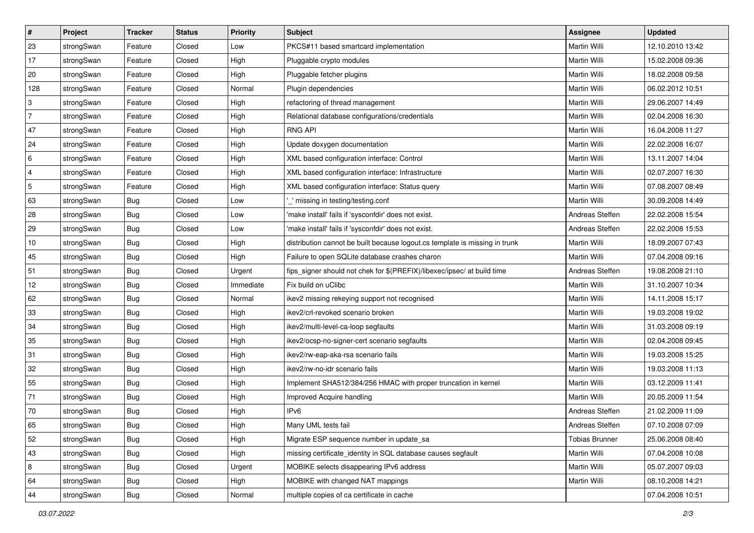| $\vert$ #      | Project    | <b>Tracker</b> | <b>Status</b> | <b>Priority</b> | <b>Subject</b>                                                              | Assignee              | <b>Updated</b>   |
|----------------|------------|----------------|---------------|-----------------|-----------------------------------------------------------------------------|-----------------------|------------------|
| 23             | strongSwan | Feature        | Closed        | Low             | PKCS#11 based smartcard implementation                                      | Martin Willi          | 12.10.2010 13:42 |
| 17             | strongSwan | Feature        | Closed        | High            | Pluggable crypto modules                                                    | <b>Martin Willi</b>   | 15.02.2008 09:36 |
| 20             | strongSwan | Feature        | Closed        | High            | Pluggable fetcher plugins                                                   | Martin Willi          | 18.02.2008 09:58 |
| 128            | strongSwan | Feature        | Closed        | Normal          | Plugin dependencies                                                         | Martin Willi          | 06.02.2012 10:51 |
| 3              | strongSwan | Feature        | Closed        | High            | refactoring of thread management                                            | Martin Willi          | 29.06.2007 14:49 |
| $\overline{7}$ | strongSwan | Feature        | Closed        | High            | Relational database configurations/credentials                              | <b>Martin Willi</b>   | 02.04.2008 16:30 |
| 47             | strongSwan | Feature        | Closed        | High            | <b>RNG API</b>                                                              | Martin Willi          | 16.04.2008 11:27 |
| 24             | strongSwan | Feature        | Closed        | High            | Update doxygen documentation                                                | Martin Willi          | 22.02.2008 16:07 |
| 6              | strongSwan | Feature        | Closed        | High            | XML based configuration interface: Control                                  | Martin Willi          | 13.11.2007 14:04 |
| $\overline{4}$ | strongSwan | Feature        | Closed        | High            | XML based configuration interface: Infrastructure                           | Martin Willi          | 02.07.2007 16:30 |
| $\sqrt{5}$     | strongSwan | Feature        | Closed        | High            | XML based configuration interface: Status query                             | Martin Willi          | 07.08.2007 08:49 |
| 63             | strongSwan | <b>Bug</b>     | Closed        | Low             | missing in testing/testing.conf                                             | Martin Willi          | 30.09.2008 14:49 |
| 28             | strongSwan | Bug            | Closed        | Low             | 'make install' fails if 'sysconfdir' does not exist.                        | Andreas Steffen       | 22.02.2008 15:54 |
| 29             | strongSwan | <b>Bug</b>     | Closed        | Low             | 'make install' fails if 'sysconfdir' does not exist.                        | Andreas Steffen       | 22.02.2008 15:53 |
| 10             | strongSwan | Bug            | Closed        | High            | distribution cannot be built because logout.cs template is missing in trunk | Martin Willi          | 18.09.2007 07:43 |
| 45             | strongSwan | <b>Bug</b>     | Closed        | High            | Failure to open SQLite database crashes charon                              | Martin Willi          | 07.04.2008 09:16 |
| 51             | strongSwan | <b>Bug</b>     | Closed        | Urgent          | fips_signer should not chek for \$(PREFIX)/libexec/ipsec/ at build time     | Andreas Steffen       | 19.08.2008 21:10 |
| 12             | strongSwan | Bug            | Closed        | Immediate       | Fix build on uClibc                                                         | Martin Willi          | 31.10.2007 10:34 |
| 62             | strongSwan | Bug            | Closed        | Normal          | ikev2 missing rekeying support not recognised                               | Martin Willi          | 14.11.2008 15:17 |
| 33             | strongSwan | <b>Bug</b>     | Closed        | High            | ikev2/crl-revoked scenario broken                                           | Martin Willi          | 19.03.2008 19:02 |
| 34             | strongSwan | <b>Bug</b>     | Closed        | High            | ikev2/multi-level-ca-loop segfaults                                         | Martin Willi          | 31.03.2008 09:19 |
| 35             | strongSwan | <b>Bug</b>     | Closed        | High            | ikev2/ocsp-no-signer-cert scenario segfaults                                | Martin Willi          | 02.04.2008 09:45 |
| 31             | strongSwan | Bug            | Closed        | High            | ikev2/rw-eap-aka-rsa scenario fails                                         | Martin Willi          | 19.03.2008 15:25 |
| 32             | strongSwan | Bug            | Closed        | High            | ikev2/rw-no-idr scenario fails                                              | Martin Willi          | 19.03.2008 11:13 |
| 55             | strongSwan | <b>Bug</b>     | Closed        | High            | Implement SHA512/384/256 HMAC with proper truncation in kernel              | Martin Willi          | 03.12.2009 11:41 |
| 71             | strongSwan | Bug            | Closed        | High            | Improved Acquire handling                                                   | Martin Willi          | 20.05.2009 11:54 |
| 70             | strongSwan | Bug            | Closed        | High            | IPv6                                                                        | Andreas Steffen       | 21.02.2009 11:09 |
| 65             | strongSwan | Bug            | Closed        | High            | Many UML tests fail                                                         | Andreas Steffen       | 07.10.2008 07:09 |
| 52             | strongSwan | Bug            | Closed        | High            | Migrate ESP sequence number in update sa                                    | <b>Tobias Brunner</b> | 25.06.2008 08:40 |
| 43             | strongSwan | Bug            | Closed        | High            | missing certificate_identity in SQL database causes segfault                | Martin Willi          | 07.04.2008 10:08 |
| 8              | strongSwan | Bug            | Closed        | Urgent          | MOBIKE selects disappearing IPv6 address                                    | Martin Willi          | 05.07.2007 09:03 |
| 64             | strongSwan | Bug            | Closed        | High            | MOBIKE with changed NAT mappings                                            | Martin Willi          | 08.10.2008 14:21 |
| 44             | strongSwan | <b>Bug</b>     | Closed        | Normal          | multiple copies of ca certificate in cache                                  |                       | 07.04.2008 10:51 |